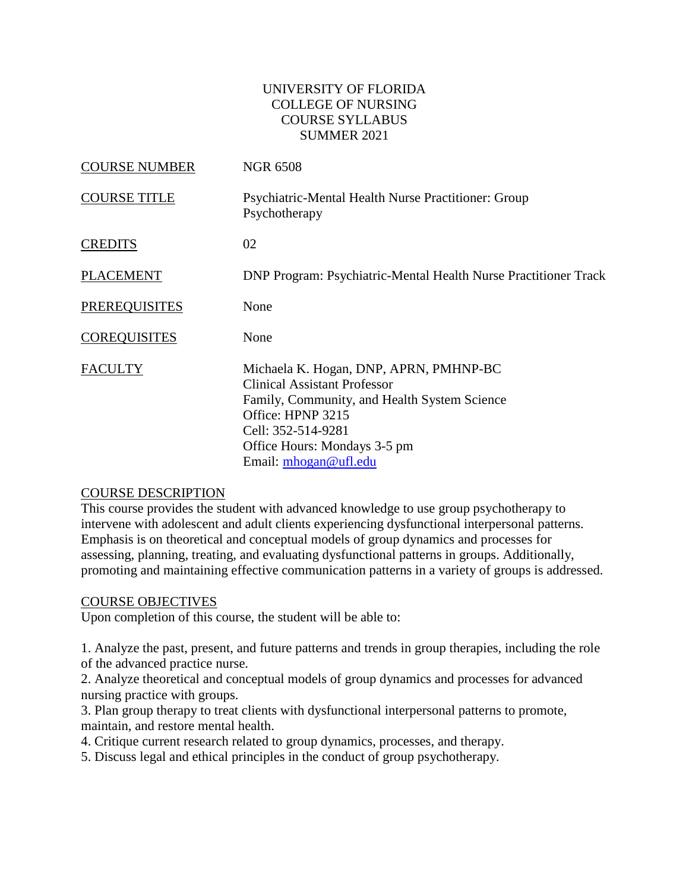## UNIVERSITY OF FLORIDA COLLEGE OF NURSING COURSE SYLLABUS SUMMER 2021

| <b>COURSE NUMBER</b> | <b>NGR 6508</b>                                                                                                                                                                                                                   |
|----------------------|-----------------------------------------------------------------------------------------------------------------------------------------------------------------------------------------------------------------------------------|
| <b>COURSE TITLE</b>  | <b>Psychiatric-Mental Health Nurse Practitioner: Group</b><br>Psychotherapy                                                                                                                                                       |
| <b>CREDITS</b>       | 02                                                                                                                                                                                                                                |
| <b>PLACEMENT</b>     | <b>DNP Program: Psychiatric-Mental Health Nurse Practitioner Track</b>                                                                                                                                                            |
| <b>PREREQUISITES</b> | None                                                                                                                                                                                                                              |
| <b>COREQUISITES</b>  | None                                                                                                                                                                                                                              |
| <b>FACULTY</b>       | Michaela K. Hogan, DNP, APRN, PMHNP-BC<br><b>Clinical Assistant Professor</b><br>Family, Community, and Health System Science<br>Office: HPNP 3215<br>Cell: 352-514-9281<br>Office Hours: Mondays 3-5 pm<br>Email: mhogan@ufl.edu |

### COURSE DESCRIPTION

This course provides the student with advanced knowledge to use group psychotherapy to intervene with adolescent and adult clients experiencing dysfunctional interpersonal patterns. Emphasis is on theoretical and conceptual models of group dynamics and processes for assessing, planning, treating, and evaluating dysfunctional patterns in groups. Additionally, promoting and maintaining effective communication patterns in a variety of groups is addressed.

### COURSE OBJECTIVES

Upon completion of this course, the student will be able to:

1. Analyze the past, present, and future patterns and trends in group therapies, including the role of the advanced practice nurse.

2. Analyze theoretical and conceptual models of group dynamics and processes for advanced nursing practice with groups.

3. Plan group therapy to treat clients with dysfunctional interpersonal patterns to promote, maintain, and restore mental health.

4. Critique current research related to group dynamics, processes, and therapy.

5. Discuss legal and ethical principles in the conduct of group psychotherapy.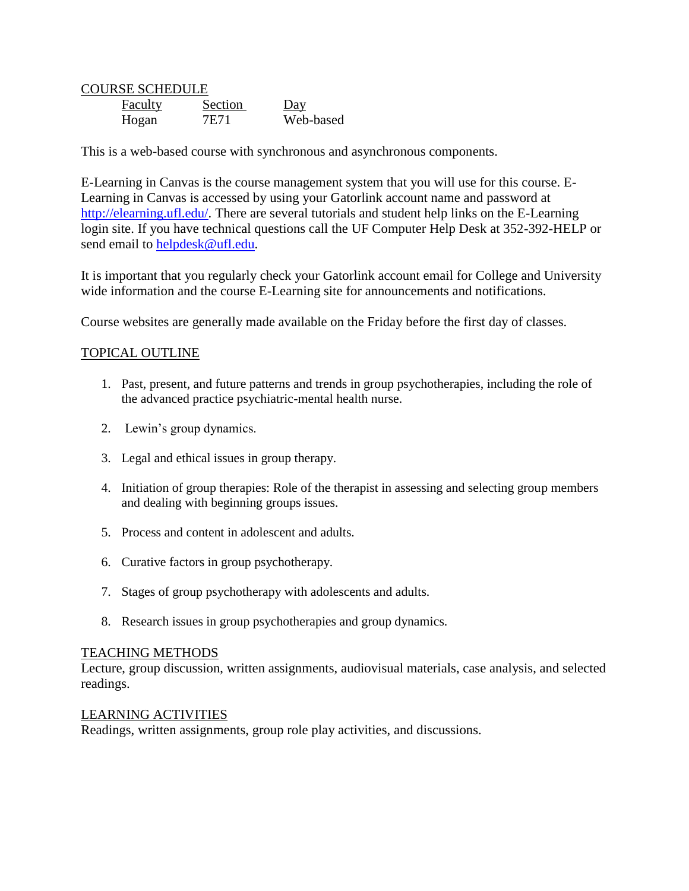COURSE SCHEDULE Faculty Section Day Hogan 7E71 Web-based

This is a web-based course with synchronous and asynchronous components.

E-Learning in Canvas is the course management system that you will use for this course. E-Learning in Canvas is accessed by using your Gatorlink account name and password at [http://elearning.ufl.edu/.](http://elearning.ufl.edu/) There are several tutorials and student help links on the E-Learning login site. If you have technical questions call the UF Computer Help Desk at 352-392-HELP or send email to [helpdesk@ufl.edu.](mailto:helpdesk@ufl.edu)

It is important that you regularly check your Gatorlink account email for College and University wide information and the course E-Learning site for announcements and notifications.

Course websites are generally made available on the Friday before the first day of classes.

# TOPICAL OUTLINE

- 1. Past, present, and future patterns and trends in group psychotherapies, including the role of the advanced practice psychiatric-mental health nurse.
- 2. Lewin's group dynamics.
- 3. Legal and ethical issues in group therapy.
- 4. Initiation of group therapies: Role of the therapist in assessing and selecting group members and dealing with beginning groups issues.
- 5. Process and content in adolescent and adults.
- 6. Curative factors in group psychotherapy.
- 7. Stages of group psychotherapy with adolescents and adults.
- 8. Research issues in group psychotherapies and group dynamics.

### TEACHING METHODS

Lecture, group discussion, written assignments, audiovisual materials, case analysis, and selected readings.

### LEARNING ACTIVITIES

Readings, written assignments, group role play activities, and discussions.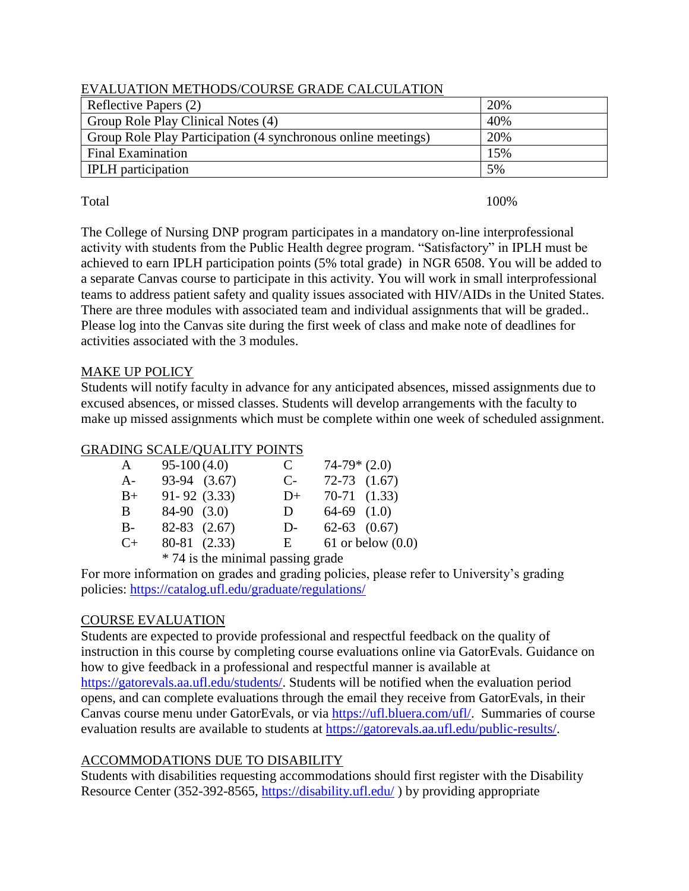| L'AROMINION MENTODICO ONDE ON 1DE CAECO EN 1101 V             |     |  |  |  |
|---------------------------------------------------------------|-----|--|--|--|
| Reflective Papers (2)                                         | 20% |  |  |  |
| Group Role Play Clinical Notes (4)                            | 40% |  |  |  |
| Group Role Play Participation (4 synchronous online meetings) | 20% |  |  |  |
| Final Examination                                             | 15% |  |  |  |
| <b>IPLH</b> participation                                     | 5%  |  |  |  |

## EVALUATION METHODS/COURSE GRADE CALCULATION

Total and 100%

The College of Nursing DNP program participates in a mandatory on-line interprofessional activity with students from the Public Health degree program. "Satisfactory" in IPLH must be achieved to earn IPLH participation points (5% total grade) in NGR 6508. You will be added to a separate Canvas course to participate in this activity. You will work in small interprofessional teams to address patient safety and quality issues associated with HIV/AIDs in the United States. There are three modules with associated team and individual assignments that will be graded.. Please log into the Canvas site during the first week of class and make note of deadlines for activities associated with the 3 modules.

# MAKE UP POLICY

Students will notify faculty in advance for any anticipated absences, missed assignments due to excused absences, or missed classes. Students will develop arrangements with the faculty to make up missed assignments which must be complete within one week of scheduled assignment.

# GRADING SCALE/QUALITY POINTS

| A         | $95-100(4.0)$    |                                                          | C    | $74-79*(2.0)$    |                       |
|-----------|------------------|----------------------------------------------------------|------|------------------|-----------------------|
| $A-$      | 93-94 (3.67)     |                                                          | $C-$ | $72-73$ $(1.67)$ |                       |
| $B+$      | $91 - 92$ (3.33) |                                                          | $D+$ | $70-71$ $(1.33)$ |                       |
| B.        | $84-90$ $(3.0)$  |                                                          | D.   | $64-69$ $(1.0)$  |                       |
| $B-$      | $82-83$ $(2.67)$ |                                                          | $D-$ | $62-63$ $(0.67)$ |                       |
| $C_{\pm}$ | 80-81 (2.33)     |                                                          | E    |                  | $61$ or below $(0.0)$ |
|           |                  | $\star$ 74 to the postulation of production of the field |      |                  |                       |

\* 74 is the minimal passing grade

For more information on grades and grading policies, please refer to University's grading policies:<https://catalog.ufl.edu/graduate/regulations/>

# COURSE EVALUATION

Students are expected to provide professional and respectful feedback on the quality of instruction in this course by completing course evaluations online via GatorEvals. Guidance on how to give feedback in a professional and respectful manner is available at [https://gatorevals.aa.ufl.edu/students/.](https://gatorevals.aa.ufl.edu/students/) Students will be notified when the evaluation period opens, and can complete evaluations through the email they receive from GatorEvals, in their Canvas course menu under GatorEvals, or via [https://ufl.bluera.com/ufl/.](https://ufl.bluera.com/ufl/) Summaries of course evaluation results are available to students at [https://gatorevals.aa.ufl.edu/public-results/.](https://gatorevals.aa.ufl.edu/public-results/)

# ACCOMMODATIONS DUE TO DISABILITY

Students with disabilities requesting accommodations should first register with the Disability Resource Center (352-392-8565,<https://disability.ufl.edu/> ) by providing appropriate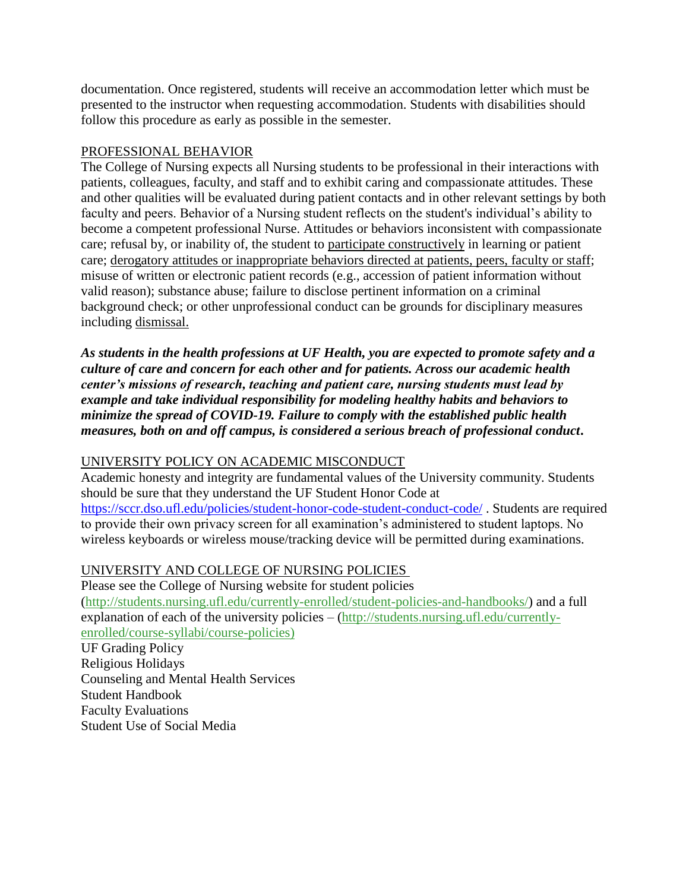documentation. Once registered, students will receive an accommodation letter which must be presented to the instructor when requesting accommodation. Students with disabilities should follow this procedure as early as possible in the semester.

## PROFESSIONAL BEHAVIOR

The College of Nursing expects all Nursing students to be professional in their interactions with patients, colleagues, faculty, and staff and to exhibit caring and compassionate attitudes. These and other qualities will be evaluated during patient contacts and in other relevant settings by both faculty and peers. Behavior of a Nursing student reflects on the student's individual's ability to become a competent professional Nurse. Attitudes or behaviors inconsistent with compassionate care; refusal by, or inability of, the student to participate constructively in learning or patient care; derogatory attitudes or inappropriate behaviors directed at patients, peers, faculty or staff; misuse of written or electronic patient records (e.g., accession of patient information without valid reason); substance abuse; failure to disclose pertinent information on a criminal background check; or other unprofessional conduct can be grounds for disciplinary measures including dismissal.

*As students in the health professions at UF Health, you are expected to promote safety and a culture of care and concern for each other and for patients. Across our academic health center's missions of research, teaching and patient care, nursing students must lead by example and take individual responsibility for modeling healthy habits and behaviors to minimize the spread of COVID-19. Failure to comply with the established public health measures, both on and off campus, is considered a serious breach of professional conduct***.** 

# UNIVERSITY POLICY ON ACADEMIC MISCONDUCT

Academic honesty and integrity are fundamental values of the University community. Students should be sure that they understand the UF Student Honor Code at <https://sccr.dso.ufl.edu/policies/student-honor-code-student-conduct-code/> . Students are required to provide their own privacy screen for all examination's administered to student laptops. No wireless keyboards or wireless mouse/tracking device will be permitted during examinations.

# UNIVERSITY AND COLLEGE OF NURSING POLICIES

Please see the College of Nursing website for student policies [\(http://students.nursing.ufl.edu/currently-enrolled/student-policies-and-handbooks/\)](http://students.nursing.ufl.edu/currently-enrolled/student-policies-and-handbooks/) and a full explanation of each of the university policies – [\(http://students.nursing.ufl.edu/currently](http://students.nursing.ufl.edu/currently-enrolled/course-syllabi/course-policies)[enrolled/course-syllabi/course-policies\)](http://students.nursing.ufl.edu/currently-enrolled/course-syllabi/course-policies) UF Grading Policy Religious Holidays Counseling and Mental Health Services Student Handbook Faculty Evaluations Student Use of Social Media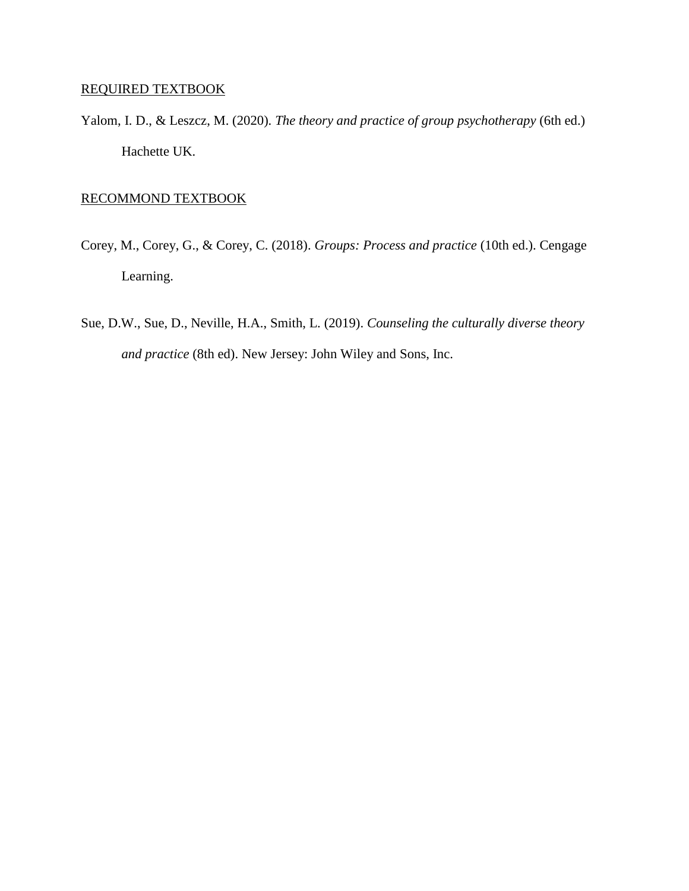## REQUIRED TEXTBOOK

Yalom, I. D., & Leszcz, M. (2020). *The theory and practice of group psychotherapy* (6th ed.) Hachette UK.

### RECOMMOND TEXTBOOK

- Corey, M., Corey, G., & Corey, C. (2018). *Groups: Process and practice* (10th ed.). Cengage Learning.
- Sue, D.W., Sue, D., Neville, H.A., Smith, L. (2019). *Counseling the culturally diverse theory and practice* (8th ed). New Jersey: John Wiley and Sons, Inc.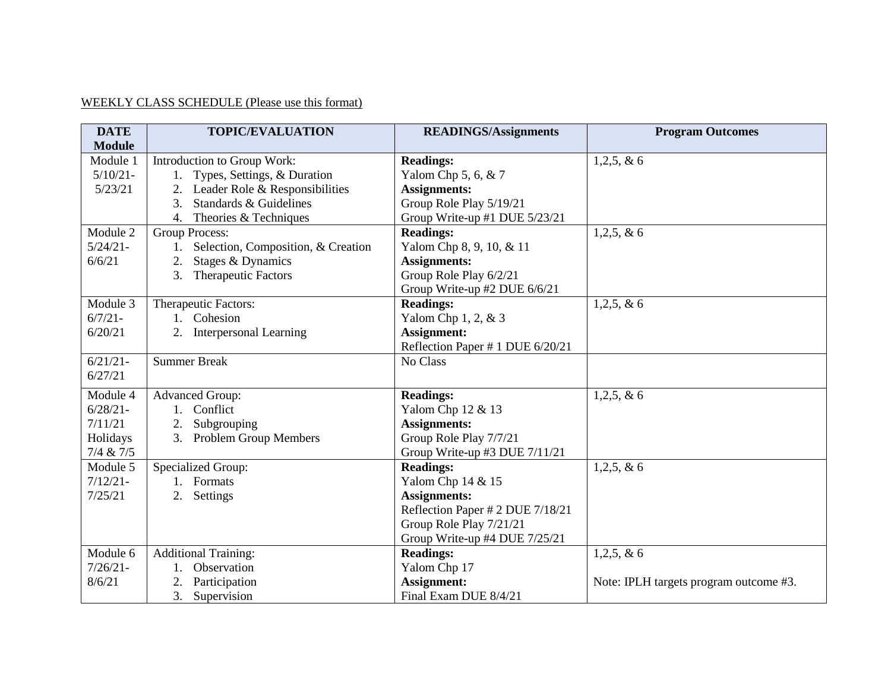# WEEKLY CLASS SCHEDULE (Please use this format)

| <b>DATE</b>   | <b>TOPIC/EVALUATION</b>                  | <b>READINGS/Assignments</b>      | <b>Program Outcomes</b>                |
|---------------|------------------------------------------|----------------------------------|----------------------------------------|
| <b>Module</b> |                                          |                                  |                                        |
| Module 1      | Introduction to Group Work:              | <b>Readings:</b>                 | $1,2,5, \& 6$                          |
| $5/10/21 -$   | 1. Types, Settings, & Duration           | Yalom Chp 5, 6, $& 7$            |                                        |
| 5/23/21       | 2. Leader Role & Responsibilities        | <b>Assignments:</b>              |                                        |
|               | Standards & Guidelines<br>3.             | Group Role Play 5/19/21          |                                        |
|               | Theories & Techniques<br>4.              | Group Write-up #1 DUE 5/23/21    |                                        |
| Module 2      | <b>Group Process:</b>                    | <b>Readings:</b>                 | $1,2,5, \& 6$                          |
| $5/24/21-$    | Selection, Composition, & Creation<br>1. | Yalom Chp 8, 9, 10, & 11         |                                        |
| 6/6/21        | Stages & Dynamics<br>2.                  | <b>Assignments:</b>              |                                        |
|               | 3.<br><b>Therapeutic Factors</b>         | Group Role Play 6/2/21           |                                        |
|               |                                          | Group Write-up #2 DUE 6/6/21     |                                        |
| Module 3      | Therapeutic Factors:                     | <b>Readings:</b>                 | $1,2,5, \& 6$                          |
| $6/7/21 -$    | 1. Cohesion                              | Yalom Chp 1, 2, & 3              |                                        |
| 6/20/21       | 2. Interpersonal Learning                | Assignment:                      |                                        |
|               |                                          | Reflection Paper # 1 DUE 6/20/21 |                                        |
| $6/21/21$ -   | <b>Summer Break</b>                      | No Class                         |                                        |
| 6/27/21       |                                          |                                  |                                        |
| Module 4      | <b>Advanced Group:</b>                   | <b>Readings:</b>                 | $1,2,5, \& 6$                          |
| $6/28/21 -$   | 1. Conflict                              | Yalom Chp 12 & 13                |                                        |
| 7/11/21       | Subgrouping                              | <b>Assignments:</b>              |                                        |
| Holidays      | 3. Problem Group Members                 | Group Role Play 7/7/21           |                                        |
| 7/4 & 7/5     |                                          | Group Write-up #3 DUE 7/11/21    |                                        |
| Module 5      | <b>Specialized Group:</b>                | <b>Readings:</b>                 | $1,2,5, \& 6$                          |
| $7/12/21 -$   | 1. Formats                               | Yalom Chp 14 & 15                |                                        |
| 7/25/21       | 2.<br>Settings                           | <b>Assignments:</b>              |                                        |
|               |                                          | Reflection Paper # 2 DUE 7/18/21 |                                        |
|               |                                          | Group Role Play 7/21/21          |                                        |
|               |                                          | Group Write-up #4 DUE 7/25/21    |                                        |
| Module 6      | <b>Additional Training:</b>              | <b>Readings:</b>                 | $1,2,5, \& 6$                          |
| $7/26/21 -$   | Observation                              | Yalom Chp 17                     |                                        |
| 8/6/21        | Participation<br>2.                      | Assignment:                      | Note: IPLH targets program outcome #3. |
|               | 3.<br>Supervision                        | Final Exam DUE 8/4/21            |                                        |